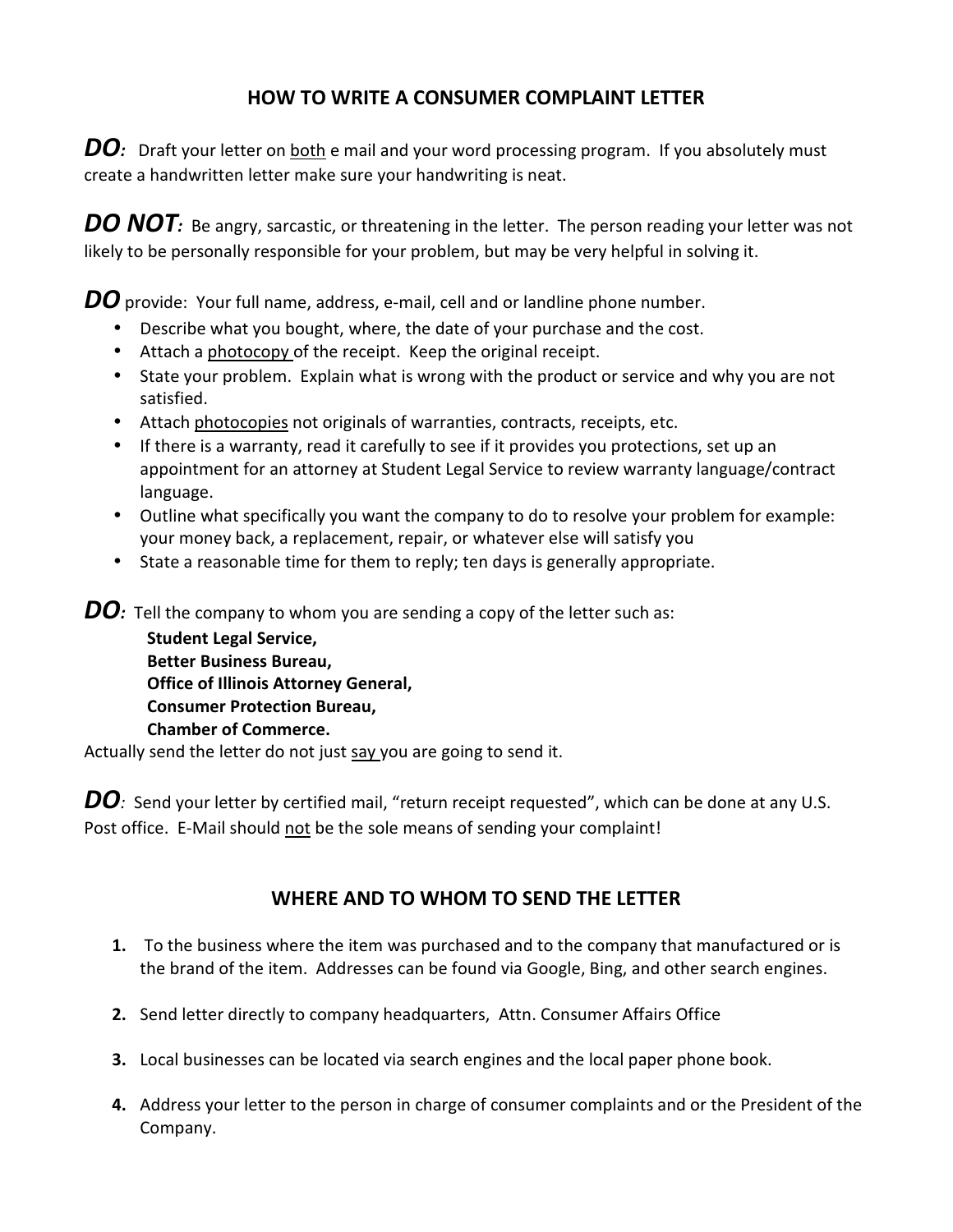## **HOW TO WRITE A CONSUMER COMPLAINT LETTER**

**DO**: Draft your letter on both e mail and your word processing program. If you absolutely must create a handwritten letter make sure your handwriting is neat.

**DO NOT**: Be angry, sarcastic, or threatening in the letter. The person reading your letter was not likely to be personally responsible for your problem, but may be very helpful in solving it.

**DO** provide: Your full name, address, e-mail, cell and or landline phone number.

- Describe what you bought, where, the date of your purchase and the cost.
- Attach a photocopy of the receipt. Keep the original receipt.
- State your problem. Explain what is wrong with the product or service and why you are not satisfied.
- Attach photocopies not originals of warranties, contracts, receipts, etc.
- If there is a warranty, read it carefully to see if it provides you protections, set up an appointment for an attorney at Student Legal Service to review warranty language/contract language.
- Outline what specifically you want the company to do to resolve your problem for example: your money back, a replacement, repair, or whatever else will satisfy you
- State a reasonable time for them to reply; ten days is generally appropriate.

**DO**: Tell the company to whom you are sending a copy of the letter such as:

**Student Legal Service, Better Business Bureau, Office of Illinois Attorney General, Consumer Protection Bureau, Chamber of Commerce.** 

Actually send the letter do not just say you are going to send it.

**DO**: Send your letter by certified mail, "return receipt requested", which can be done at any U.S. Post office. E-Mail should not be the sole means of sending your complaint!

## **WHERE AND TO WHOM TO SEND THE LETTER**

- **1.** To the business where the item was purchased and to the company that manufactured or is the brand of the item. Addresses can be found via Google, Bing, and other search engines.
- **2.** Send letter directly to company headquarters, Attn. Consumer Affairs Office
- **3.** Local businesses can be located via search engines and the local paper phone book.
- **4.** Address your letter to the person in charge of consumer complaints and or the President of the Company.